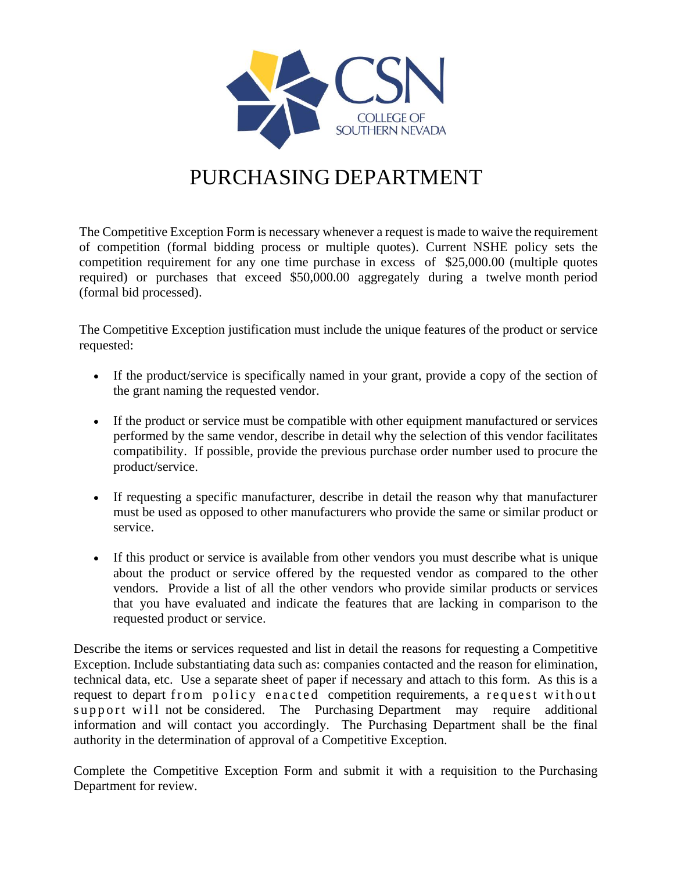

## PURCHASING DEPARTMENT

The Competitive Exception Form is necessary whenever a request is made to waive the requirement of competition (formal bidding process or multiple quotes). Current NSHE policy sets the competition requirement for any one time purchase in excess of \$[25,000.00](https://25,000.00) (multiple quotes required) or purchases that exceed \$[50,000.00](https://50,000.00) aggregately during a twelve month period (formal bid processed).

The Competitive Exception justification must include the unique features of the product or service requested:

- If the product/service is specifically named in your grant, provide a copy of the section of the grant naming the requested vendor.
- • If the product or service must be compatible with other equipment manufactured or services compatibility. If possible, provide the previous purchase order number used to procure the performed by the same vendor, describe in detail why the selection of this vendor facilitates product/service.
- If requesting a specific manufacturer, describe in detail the reason why that manufacturer must be used as opposed to other manufacturers who provide the same or similar product or service.
- that you have evaluated and indicate the features that are lacking in comparison to the • If this product or service is available from other vendors you must describe what is unique about the product or service offered by the requested vendor as compared to the other vendors. Provide a list of all the other vendors who provide similar products or services requested product or service.

 technical data, etc. Use a separate sheet of paper if necessary and attach to this form. As this is a request to depart from policy enacted competition requirements, a request without support will not be considered. The Purchasing Department may require additional information and will contact you accordingly. The Purchasing Department shall be the final Describe the items or services requested and list in detail the reasons for requesting a Competitive Exception. Include substantiating data such as: companies contacted and the reason for elimination, authority in the determination of approval of a Competitive Exception.

Complete the Competitive Exception Form and submit it with a requisition to the Purchasing Department for review.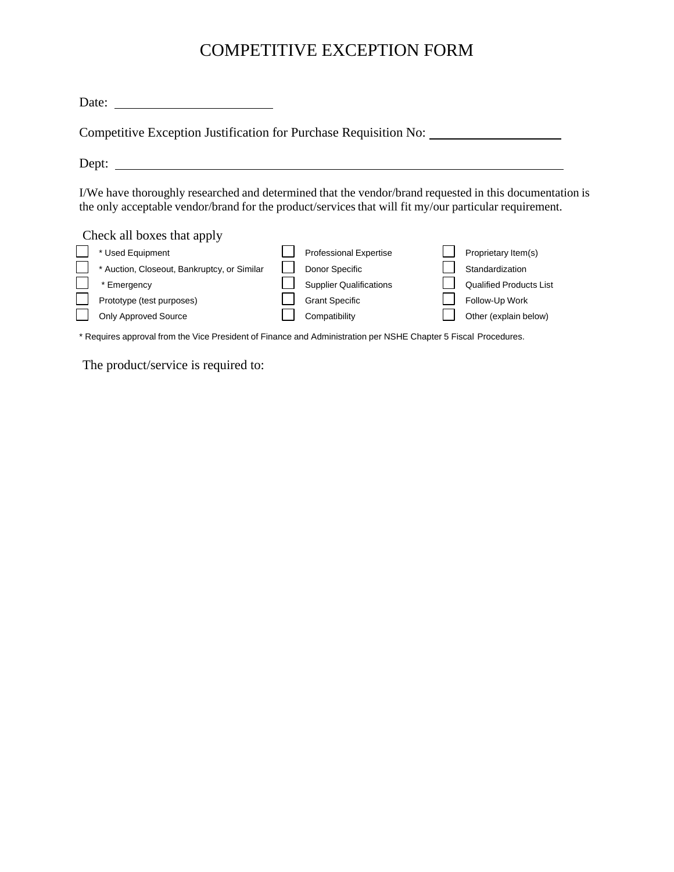## COMPETITIVE EXCEPTION FORM

| Date:                                                                                                                                                                                                                                           |                                             |  |                                |  |                                |  |
|-------------------------------------------------------------------------------------------------------------------------------------------------------------------------------------------------------------------------------------------------|---------------------------------------------|--|--------------------------------|--|--------------------------------|--|
| Competitive Exception Justification for Purchase Requisition No:                                                                                                                                                                                |                                             |  |                                |  |                                |  |
| Dept:                                                                                                                                                                                                                                           |                                             |  |                                |  |                                |  |
| I/We have thoroughly researched and determined that the vendor/brand requested in this documentation is<br>the only acceptable vendor/brand for the product/services that will fit my/our particular requirement.<br>Check all boxes that apply |                                             |  |                                |  |                                |  |
|                                                                                                                                                                                                                                                 | * Used Equipment                            |  | <b>Professional Expertise</b>  |  | Proprietary Item(s)            |  |
|                                                                                                                                                                                                                                                 | * Auction, Closeout, Bankruptcy, or Similar |  | Donor Specific                 |  | Standardization                |  |
|                                                                                                                                                                                                                                                 | * Emergency                                 |  | <b>Supplier Qualifications</b> |  | <b>Qualified Products List</b> |  |
|                                                                                                                                                                                                                                                 | Prototype (test purposes)                   |  | <b>Grant Specific</b>          |  | Follow-Up Work                 |  |
|                                                                                                                                                                                                                                                 | <b>Only Approved Source</b>                 |  | Compatibility                  |  | Other (explain below)          |  |

\* Requires approval from the Vice President of Finance and Administration per NSHE Chapter 5 Fiscal Procedures.

The product/service is required to: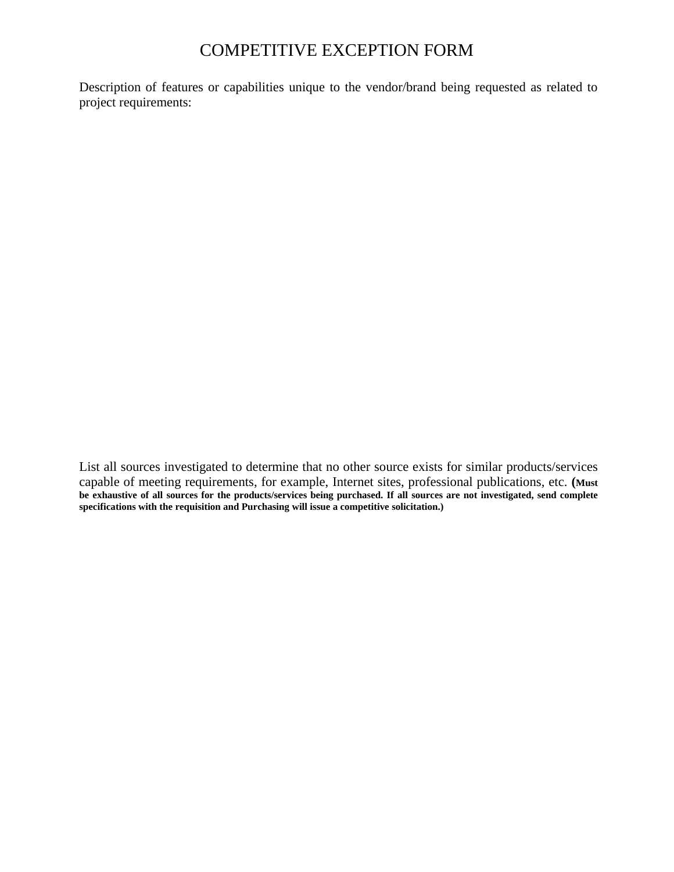## COMPETITIVE EXCEPTION FORM

Description of features or capabilities unique to the vendor/brand being requested as related to project requirements:

List all sources investigated to determine that no other source exists for similar products/services capable of meeting requirements, for example, Internet sites, professional publications, etc. **(Must be exhaustive of all sources for the products/services being purchased. If all sources are not investigated, send complete specifications with the requisition and Purchasing will issue a competitive solicitation.)**